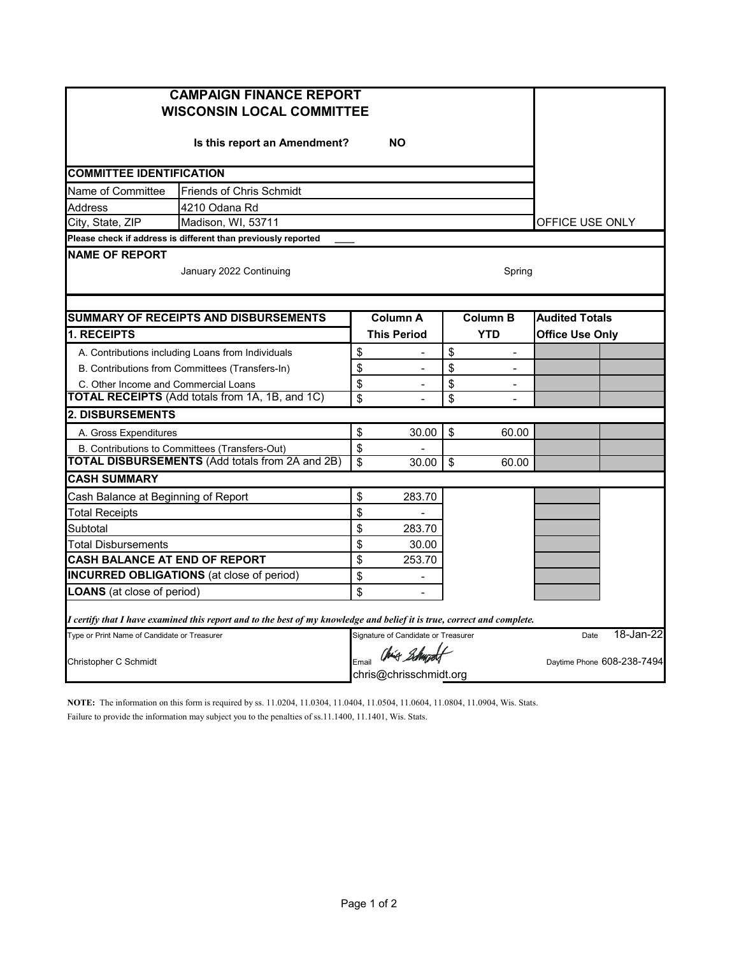| <b>CAMPAIGN FINANCE REPORT</b><br><b>WISCONSIN LOCAL COMMITTEE</b> |                                                                                                                         |                         |                                     |            |                            |                        |           |
|--------------------------------------------------------------------|-------------------------------------------------------------------------------------------------------------------------|-------------------------|-------------------------------------|------------|----------------------------|------------------------|-----------|
| Is this report an Amendment?<br><b>NO</b>                          |                                                                                                                         |                         |                                     |            |                            |                        |           |
| <b>COMMITTEE IDENTIFICATION</b>                                    |                                                                                                                         |                         |                                     |            |                            |                        |           |
| Name of Committee<br><b>Friends of Chris Schmidt</b>               |                                                                                                                         |                         |                                     |            |                            |                        |           |
| Address<br>4210 Odana Rd                                           |                                                                                                                         |                         |                                     |            |                            |                        |           |
| City, State, ZIP<br>Madison, WI, 53711                             |                                                                                                                         |                         |                                     |            |                            | OFFICE USE ONLY        |           |
|                                                                    | Please check if address is different than previously reported                                                           |                         |                                     |            |                            |                        |           |
| <b>NAME OF REPORT</b><br>January 2022 Continuing                   |                                                                                                                         |                         |                                     |            | Spring                     |                        |           |
|                                                                    | <b>SUMMARY OF RECEIPTS AND DISBURSEMENTS</b>                                                                            |                         | <b>Column A</b>                     |            | <b>Column B</b>            | <b>Audited Totals</b>  |           |
| 1. RECEIPTS                                                        |                                                                                                                         |                         | <b>This Period</b>                  | <b>YTD</b> |                            | <b>Office Use Only</b> |           |
|                                                                    | A. Contributions including Loans from Individuals                                                                       | \$                      |                                     | \$         | $\overline{a}$             |                        |           |
|                                                                    | B. Contributions from Committees (Transfers-In)                                                                         | \$                      | $\overline{a}$                      | \$         | $\overline{a}$             |                        |           |
| C. Other Income and Commercial Loans                               |                                                                                                                         | \$                      |                                     | \$         | $\overline{a}$             |                        |           |
|                                                                    | <b>TOTAL RECEIPTS</b> (Add totals from 1A, 1B, and 1C)                                                                  | $\overline{\mathbf{S}}$ |                                     | \$         | $\overline{a}$             |                        |           |
| <b>2. DISBURSEMENTS</b>                                            |                                                                                                                         |                         |                                     |            |                            |                        |           |
| A. Gross Expenditures                                              |                                                                                                                         | \$                      | 30.00                               | \$         | 60.00                      |                        |           |
|                                                                    | B. Contributions to Committees (Transfers-Out)                                                                          | \$                      |                                     |            |                            |                        |           |
|                                                                    | <b>TOTAL DISBURSEMENTS (Add totals from 2A and 2B)</b>                                                                  | \$                      | 30.00                               | \$         | 60.00                      |                        |           |
| <b>CASH SUMMARY</b>                                                |                                                                                                                         |                         |                                     |            |                            |                        |           |
| Cash Balance at Beginning of Report                                |                                                                                                                         |                         | 283.70                              |            |                            |                        |           |
| <b>Total Receipts</b>                                              |                                                                                                                         | \$                      |                                     |            |                            |                        |           |
| Subtotal                                                           |                                                                                                                         | \$                      | 283.70                              |            |                            |                        |           |
| Total Disbursements                                                |                                                                                                                         | \$                      | 30.00                               |            |                            |                        |           |
| <b>CASH BALANCE AT END OF REPORT</b>                               |                                                                                                                         | \$                      | 253.70                              |            |                            |                        |           |
|                                                                    | <b>INCURRED OBLIGATIONS</b> (at close of period)                                                                        | \$                      |                                     |            |                            |                        |           |
| <b>LOANS</b> (at close of period)                                  |                                                                                                                         | \$                      | $\overline{a}$                      |            |                            |                        |           |
|                                                                    | I certify that I have examined this report and to the best of my knowledge and belief it is true, correct and complete. |                         |                                     |            |                            |                        |           |
| Type or Print Name of Candidate or Treasurer                       |                                                                                                                         |                         | Signature of Candidate or Treasurer |            |                            | Date                   | 18-Jan-22 |
| Christopher C Schmidt                                              |                                                                                                                         | Email                   | Chris Schwadt                       |            | Daytime Phone 608-238-7494 |                        |           |
|                                                                    |                                                                                                                         |                         | chris@chrisschmidt.org              |            |                            |                        |           |

**NOTE:** The information on this form is required by ss. 11.0204, 11.0304, 11.0404, 11.0504, 11.0604, 11.0804, 11.0904, Wis. Stats. Failure to provide the information may subject you to the penalties of ss.11.1400, 11.1401, Wis. Stats.